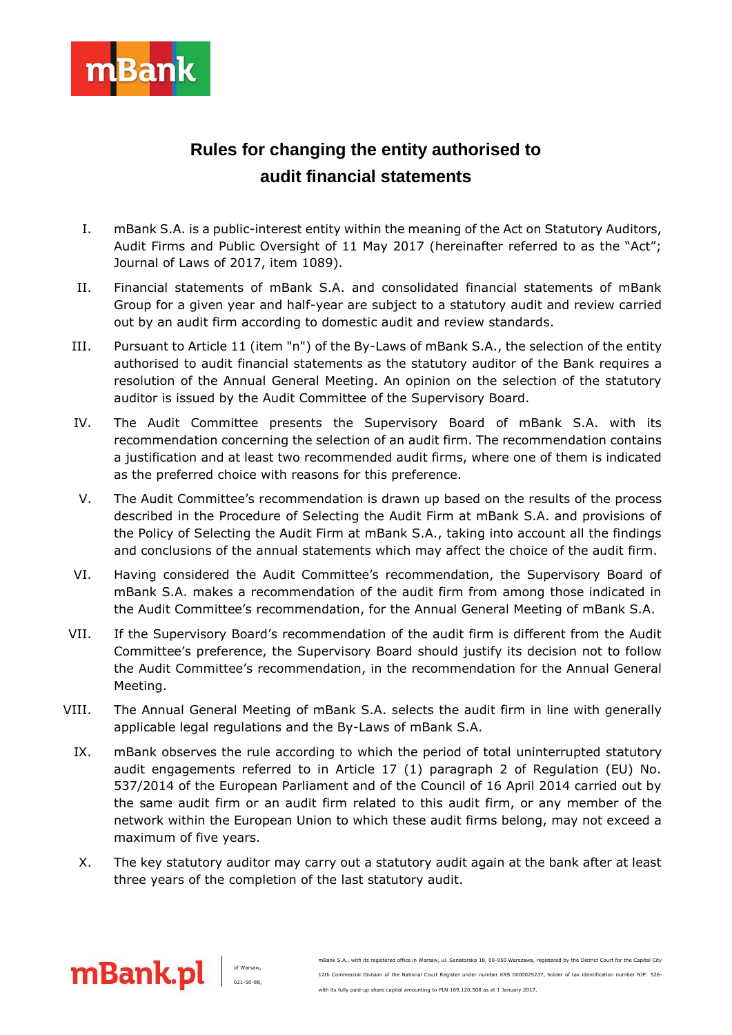

## **Rules for changing the entity authorised to audit financial statements**

- I. mBank S.A. is a public-interest entity within the meaning of the Act on Statutory Auditors, Audit Firms and Public Oversight of 11 May 2017 (hereinafter referred to as the "Act"; Journal of Laws of 2017, item 1089).
- II. Financial statements of mBank S.A. and consolidated financial statements of mBank Group for a given year and half-year are subject to a statutory audit and review carried out by an audit firm according to domestic audit and review standards.
- III. Pursuant to Article 11 (item "n") of the By-Laws of mBank S.A., the selection of the entity authorised to audit financial statements as the statutory auditor of the Bank requires a resolution of the Annual General Meeting. An opinion on the selection of the statutory auditor is issued by the Audit Committee of the Supervisory Board.
- IV. The Audit Committee presents the Supervisory Board of mBank S.A. with its recommendation concerning the selection of an audit firm. The recommendation contains a justification and at least two recommended audit firms, where one of them is indicated as the preferred choice with reasons for this preference.
- V. The Audit Committee's recommendation is drawn up based on the results of the process described in the Procedure of Selecting the Audit Firm at mBank S.A. and provisions of the Policy of Selecting the Audit Firm at mBank S.A., taking into account all the findings and conclusions of the annual statements which may affect the choice of the audit firm.
- VI. Having considered the Audit Committee's recommendation, the Supervisory Board of mBank S.A. makes a recommendation of the audit firm from among those indicated in the Audit Committee's recommendation, for the Annual General Meeting of mBank S.A.
- VII. If the Supervisory Board's recommendation of the audit firm is different from the Audit Committee's preference, the Supervisory Board should justify its decision not to follow the Audit Committee's recommendation, in the recommendation for the Annual General Meeting.
- VIII. The Annual General Meeting of mBank S.A. selects the audit firm in line with generally applicable legal regulations and the By-Laws of mBank S.A.
	- IX. mBank observes the rule according to which the period of total uninterrupted statutory audit engagements referred to in Article 17 (1) paragraph 2 of Regulation (EU) No. 537/2014 of the European Parliament and of the Council of 16 April 2014 carried out by the same audit firm or an audit firm related to this audit firm, or any member of the network within the European Union to which these audit firms belong, may not exceed a maximum of five years.
	- X. The key statutory auditor may carry out a statutory audit again at the bank after at least three years of the completion of the last statutory audit.